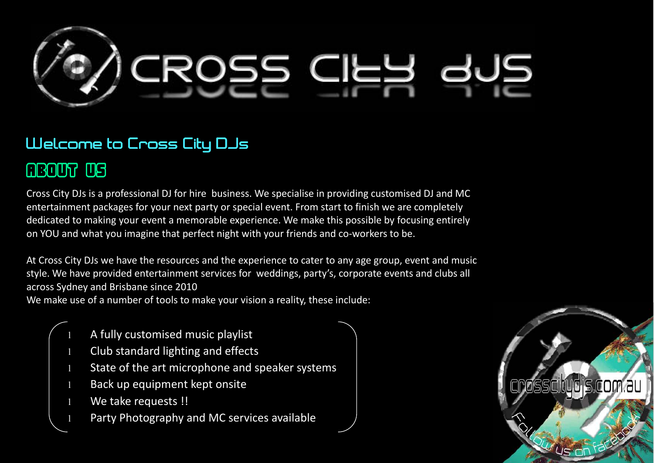

### Welcome to Cross City DJs

## ABOUT US US

Cross City DJs is a professional DJ for hire business. We specialise in providing customised DJ and MC entertainment packages for your next party or special event. From start to finish we are completely dedicated to making your event a memorable experience. We make this possible by focusing entirely on YOU and what you imagine that perfect night with your friends and co-workers to be.

At Cross City DJs we have the resources and the experience to cater to any age group, event and music style. We have provided entertainment services for weddings, party's, corporate events and clubs all across Sydney and Brisbane since 2010

We make use of a number of tools to make your vision a reality, these include:

- A fully customised music playlist
- Club standard lighting and effects
- State of the art microphone and speaker systems
- Back up equipment kept onsite
- We take requests !!
- Party Photography and MC services available

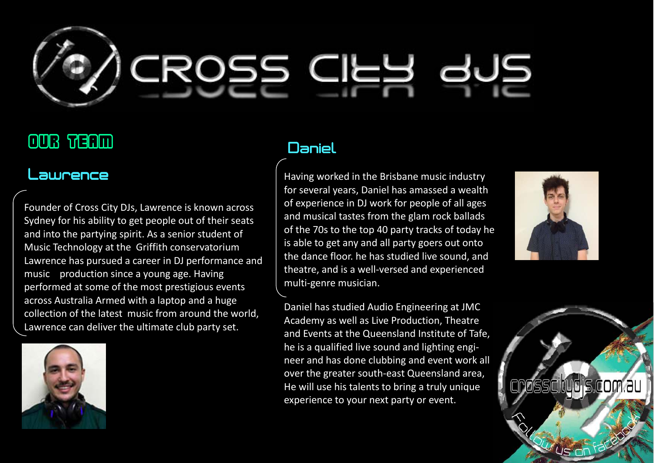

# Our team

### Lawrence

Founder of Cross City DJs, Lawrence is known across Sydney for his ability to get people out of their seats and into the partying spirit. As a senior student of Music Technology at the Griffith conservatorium Lawrence has pursued a career in DJ performance andmusic production since a young age. Having performed at some of the most prestigious events across Australia Armed with a laptop and a huge collection of the latest music from around the world, Lawrence can deliver the ultimate club party set.



### Daniel

Having worked in the Brisbane music industry for several years, Daniel has amassed a wealth of experience in DJ work for people of all ages and musical tastes from the glam rock ballads of the 70s to the top 40 party tracks of today he is able to get any and all party goers out onto the dance floor. he has studied live sound, and theatre, and is a well-versed and experienced multi-genre musician.

Daniel has studied Audio Engineering at JMC Academy as well as Live Production, Theatre and Events at the Queensland Institute of Tafe, he is a qualified live sound and lighting engineer and has done clubbing and event work all over the greater south-east Queensland area, He will use his talents to bring a truly unique experience to your next party or event.



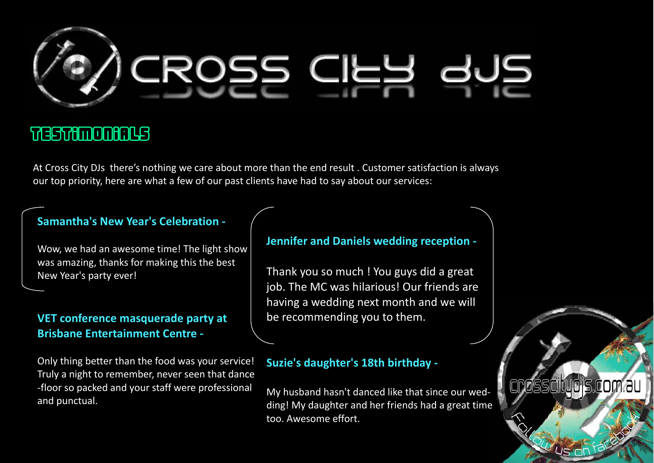

## Testimonials

At Cross City DJs there's nothing we care about more than the end result . Customer satisfaction is always our top priority, here are what a few of our past clients have had to say about our services:

#### **Samantha's New Year's Celebration -**

Wow, we had an awesome time! The light show was amazing, thanks for making this the best New Year's party ever!

#### **VET conference masquerade party at Brisbane Entertainment Centre -**

Only thing better than the food was your service! Truly a night to remember, never seen that dance -floor so packed and your staff were professional and punctual.

#### **Jennifer and Daniels wedding reception -**

Thank you so much ! You guys did a great job. The MC was hilarious! Our friends are having a wedding next month and we will be recommending you to them.

#### **Suzie's daughter's 18th birthday -**

My husband hasn't danced like that since our wedding! My daughter and her friends had a great time too. Awesome effort.

crosscitudis.com.au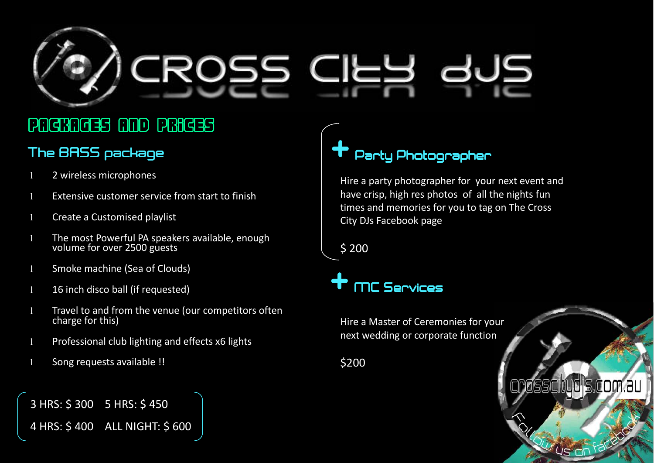

# Packages and Prices

### The BASS package

- 2 wireless microphones
- l Extensive customer service from start to finish
- l Create a Customised playlist
- l The most Powerful PA speakers available, enough volume for over 2500 guests
- l Smoke machine (Sea of Clouds)
- 1 16 inch disco ball (if requested)
- l Travel to and from the venue (our competitors oftencharge for this)
- Professional club lighting and effects x6 lights
- l Song requests available !!

3 HRS: \$ 300 5 HRS: \$ 450

4 HRS: \$ 400 ALL NIGHT: \$ 600

# Party Photographer

Hire a party photographer for your next event and have crisp, high res photos of all the nights fun times and memories for you to tag on The Cross City DJs Facebook page

rosscitudis.com.au

\$ 200

# + MC Services MC Services

Hire a Master of Ceremonies for your next wedding or corporate function

\$200